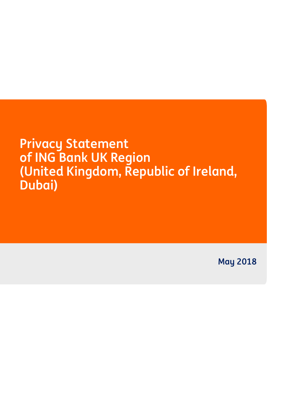**Privacy Statement of ING Bank UK Region (United Kingdom, Republic of Ireland, Dubai)**

**May 2018**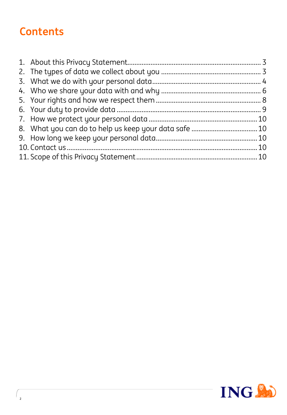# **Contents**

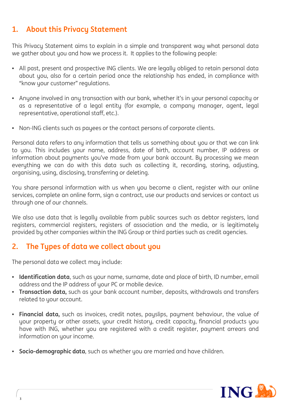## **1. About this Privacy Statement**

This Privacy Statement aims to explain in a simple and transparent way what personal data we gather about you and how we process it. It applies to the following people:

- All past, present and prospective ING clients. We are legally obliged to retain personal data about you, also for a certain period once the relationship has ended, in compliance with "know your customer" regulations.
- Anyone involved in any transaction with our bank, whether it's in your personal capacity or as a representative of a legal entity (for example, a company manager, agent, legal representative, operational staff, etc.).
- Non-ING clients such as payees or the contact persons of corporate clients.

Personal data refers to any information that tells us something about you or that we can link to you. This includes your name, address, date of birth, account number, IP address or information about payments you've made from your bank account. By processing we mean everything we can do with this data such as collecting it, recording, storing, adjusting, organising, using, disclosing, transferring or deleting.

You share personal information with us when you become a client, register with our online services, complete an online form, sign a contract, use our products and services or contact us through one of our channels.

We also use data that is legally available from public sources such as debtor registers, land registers, commercial registers, registers of association and the media, or is legitimately provided by other companies within the ING Group or third parties such as credit agencies.

## **2. The Types of data we collect about you**

The personal data we collect may include:

- **Identification data**, such as your name, surname, date and place of birth, ID number, email address and the IP address of your PC or mobile device.
- **Transaction data,** such as your bank account number, deposits, withdrawals and transfers related to your account.
- **Financial data,** such as invoices, credit notes, payslips, payment behaviour, the value of your property or other assets, your credit history, credit capacity, financial products you have with ING, whether you are registered with a credit register, payment arrears and information on your income.
- **Socio-demographic data**, such as whether you are married and have children.

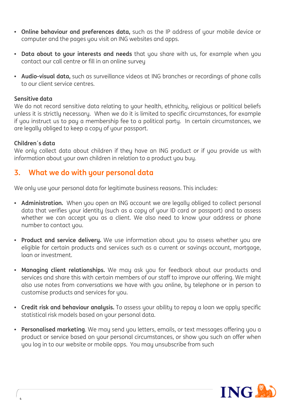- **Online behaviour and preferences data,** such as the IP address of your mobile device or computer and the pages you visit on ING websites and apps.
- **Data about to your interests and needs** that you share with us, for example when you contact our call centre or fill in an online survey
- **Audio-visual data,** such as surveillance videos at ING branches or recordings of phone calls to our client service centres.

#### **Sensitive data**

We do not record sensitive data relating to your health, ethnicity, religious or political beliefs unless it is strictly necessary. When we do it is limited to specific circumstances, for example if you instruct us to pay a membership fee to a political party. In certain circumstances, we are legally obliged to keep a copy of your passport.

#### **Children´s data**

**4**

We only collect data about children if they have an ING product or if you provide us with information about your own children in relation to a product you buy.

#### **3. What we do with your personal data**

We only use your personal data for legitimate business reasons. This includes:

- **Administration.** When you open an ING account we are legally obliged to collect personal data that verifies your identity (such as a copy of your ID card or passport) and to assess whether we can accept you as a client. We also need to know your address or phone number to contact you.
- **Product and service delivery.** We use information about you to assess whether you are eligible for certain products and services such as a current or savings account, mortgage, loan or investment.
- **Managing client relationships.** We may ask you for feedback about our products and services and share this with certain members of our staff to improve our offering. We might also use notes from conversations we have with you online, by telephone or in person to customise products and services for you.
- **Credit risk and behaviour analysis.** To assess your ability to repay a loan we apply specific statistical risk models based on your personal data.
- **Personalised marketing**. We may send you letters, emails, or text messages offering you a product or service based on your personal circumstances, or show you such an offer when you log in to our website or mobile apps. You may unsubscribe from such

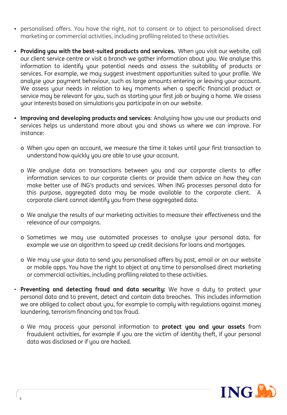- personalised offers. You have the right, not to consent or to object to personalised direct marketing or commercial activities, including profiling related to these activities.
- **Providing you with the best-suited products and services.** When you visit our website, call our client service centre or visit a branch we gather information about you. We analyse this information to identify your potential needs and assess the suitability of products or services. For example, we may suggest investment opportunities suited to your profile. We analyse your payment behaviour, such as large amounts entering or leaving your account. We assess your needs in relation to key moments when a specific financial product or service may be relevant for you, such as starting your first job or buying a home. We assess your interests based on simulations you participate in on our website.
- **Improving and developing products and services**: Analysing how you use our products and services helps us understand more about you and shows us where we can improve. For instance:
	- o When you open an account, we measure the time it takes until your first transaction to understand how quickly you are able to use your account.
	- o We analyse data on transactions between you and our corporate clients to offer information services to our corporate clients or provide them advice on how they can make better use of ING's products and services. When ING processes personal data for this purpose, aggregated data may be made available to the corporate client. A corporate client cannot identify you from these aggregated data.
	- o We analyse the results of our marketing activities to measure their effectiveness and the relevance of our campaigns.
	- o Sometimes we may use automated processes to analyse your personal data, for example we use an algorithm to speed up credit decisions for loans and mortgages.
	- o We may use your data to send you personalised offers by post, email or on our website or mobile apps. You have the right to object at any time to personalised direct marketing or commercial activities, including profiling related to these activities.
- **Preventing and detecting fraud and data security:** We have a duty to protect your personal data and to prevent, detect and contain data breaches. This includes information we are obliged to collect about you, for example to comply with regulations against money laundering, terrorism financing and tax fraud.
	- o We may process your personal information to **protect you and your assets** from fraudulent activities, for example if you are the victim of identity theft, if your personal data was disclosed or if you are hacked.

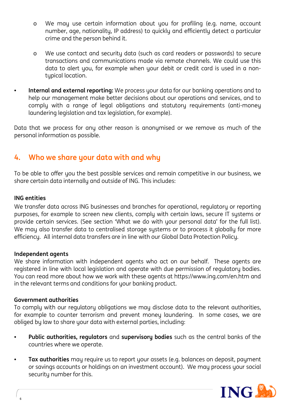- o We may use certain information about you for profiling (e.g. name, account number, age, nationality, IP address) to quickly and efficiently detect a particular crime and the person behind it.
- o We use contact and security data (such as card readers or passwords) to secure transactions and communications made via remote channels. We could use this data to alert you, for example when your debit or credit card is used in a nontypical location.
- **Internal and external reporting:** We process your data for our banking operations and to help our management make better decisions about our operations and services, and to comply with a range of legal obligations and statutory requirements (anti-money laundering legislation and tax legislation, for example).

Data that we process for any other reason is anonymised or we remove as much of the personal information as possible.

## **4. Who we share your data with and why**

To be able to offer you the best possible services and remain competitive in our business, we share certain data internally and outside of ING. This includes:

#### **ING entities**

We transfer data across ING businesses and branches for operational, regulatory or reporting purposes, for example to screen new clients, comply with certain laws, secure IT systems or provide certain services. (See section 'What we do with your personal data' for the full list). We may also transfer data to centralised storage systems or to process it globally for more efficiency. All internal data transfers are in line with our Global Data Protection Policy.

#### **Independent agents**

We share information with independent agents who act on our behalf. These agents are registered in line with local legislation and operate with due permission of regulatory bodies. You can read more about how we work with these agents at https://www.ing.com/en.htm and in the relevant terms and conditions for your banking product.

#### **Government authorities**

**6**

To comply with our regulatory obligations we may disclose data to the relevant authorities, for example to counter terrorism and prevent money laundering. In some cases, we are obliged by law to share your data with external parties, including:

- **Public authorities, regulators** and **supervisory bodies** such as the central banks of the countries where we operate.
- **Tax authorities** may require us to report your assets (e.g. balances on deposit, payment or savings accounts or holdings on an investment account). We may process your social security number for this.

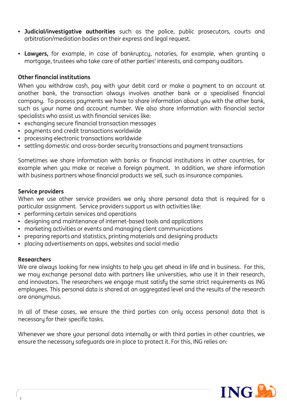- **Judicial/investigative authorities** such as the police, public prosecutors, courts and arbitration/mediation bodies on their express and legal request.
- **Lawyers,** for example, in case of bankruptcy, notaries, for example, when granting a mortgage, trustees who take care of other parties' interests, and company auditors.

#### **Other financial institutions**

When you withdraw cash, pay with your debit card or make a payment to an account at another bank, the transaction always involves another bank or a specialised financial company. To process payments we have to share information about you with the other bank, such as your name and account number. We also share information with financial sector specialists who assist us with financial services like:

- exchanging secure financial transaction messages
- payments and credit transactions worldwide
- processing electronic transactions worldwide
- settling domestic and cross-border security transactions and payment transactions

Sometimes we share information with banks or financial institutions in other countries, for example when you make or receive a foreign payment. In addition, we share information with business partners whose financial products we sell, such as insurance companies.

#### **Service providers**

When we use other service providers we only share personal data that is required for a particular assignment. Service providers support us with activities like:

- performing certain services and operations
- designing and maintenance of internet-based tools and applications
- marketing activities or events and managing client communications
- preparing reports and statistics, printing materials and designing products
- placing advertisements on apps, websites and social media

#### **Researchers**

We are always looking for new insights to help you get ahead in life and in business. For this, we may exchange personal data with partners like universities, who use it in their research, and innovators. The researchers we engage must satisfy the same strict requirements as ING employees. This personal data is shared at an aggregated level and the results of the research are anonymous.

In all of these cases, we ensure the third parties can only access personal data that is necessary for their specific tasks.

Whenever we share your personal data internally or with third parties in other countries, we ensure the necessary safeguards are in place to protect it. For this, ING relies on:

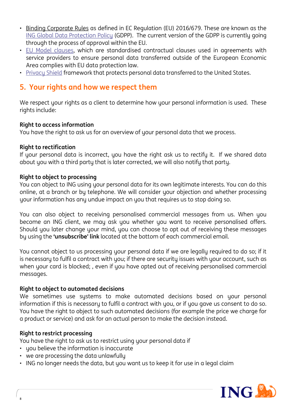- Binding Corporate Rules as defined in EC Regulation (EU) 2016/679. These are known as the ING Global Data [Protection](https://www.ing.com/web/file?uuid=cdf65d75-7e8a-488b-9c0b-4f5f29d719e2&owner=b03bc017-e0db-4b5d-abbf-003b12934429&contentid=35330) Policy (GDPP). The current version of the GDPP is currently going through the process of approval within the EU.
- EU Model [clauses](https://ec.europa.eu/info/law/law-topic/data-protection/data-transfers-outside-eu/model-contracts-transfer-personal-data-third-countries_en), which are standardised contractual clauses used in agreements with service providers to ensure personal data transferred outside of the European Economic Area complies with EU data protection law.
- [Privacy](https://ec.europa.eu/info/law/law-topic/data-protection/data-transfers-outside-eu/eu-us-privacy-shield_en) Shield framework that protects personal data transferred to the United States.

## **5. Your rights and how we respect them**

We respect your rights as a client to determine how your personal information is used. These rights include:

#### **Right to access information**

You have the right to ask us for an overview of your personal data that we process.

#### **Right to rectification**

If your personal data is incorrect, you have the right ask us to rectify it. If we shared data about you with a third party that is later corrected, we will also notify that party.

#### **Right to object to processing**

You can object to ING using your personal data for its own legitimate interests. You can do this online, at a branch or by telephone. We will consider your objection and whether processing your information has any undue impact on you that requires us to stop doing so.

You can also object to receiving personalised commercial messages from us. When you become an ING client, we may ask you whether you want to receive personalised offers. Should you later change your mind, you can choose to opt out of receiving these messages by using the **'unsubscribe' link** located at the bottom of each commercial email.

You cannot object to us processing your personal data if we are legally required to do so; if it is necessary to fulfil a contract with you; if there are security issues with your account, such as when your card is blocked; , even if you have opted out of receiving personalised commercial messages.

#### **Right to object to automated decisions**

We sometimes use systems to make automated decisions based on your personal information if this is necessary to fulfil a contract with you, or if you gave us consent to do so. You have the right to object to such automated decisions (for example the price we charge for a product or service) and ask for an actual person to make the decision instead.

#### **Right to restrict processing**

**8**

You have the right to ask us to restrict using your personal data if

- you believe the information is inaccurate
- we are processing the data unlawfully
- ING no longer needs the data, but you want us to keep it for use in a legal claim

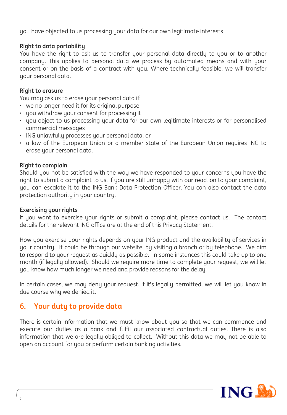you have objected to us processing your data for our own legitimate interests

#### **Right to data portability**

You have the right to ask us to transfer your personal data directly to you or to another company. This applies to personal data we process by automated means and with your consent or on the basis of a contract with you. Where technically feasible, we will transfer your personal data.

#### **Right to erasure**

You may ask us to erase your personal data if:

- we no longer need it for its original purpose
- you withdraw your consent for processing it
- you object to us processing your data for our own legitimate interests or for personalised commercial messages
- ING unlawfully processes your personal data, or
- a law of the European Union or a member state of the European Union requires ING to erase your personal data.

#### **Right to complain**

Should you not be satisfied with the way we have responded to your concerns you have the right to submit a complaint to us. If you are still unhappy with our reaction to your complaint, you can escalate it to the ING Bank Data Protection Officer. You can also contact the data protection authority in your country.

#### **Exercising your rights**

If you want to exercise your rights or submit a complaint, please contact us. The contact details for the relevant ING office are at the end of this Privacy Statement.

How you exercise your rights depends on your ING product and the availability of services in your country. It could be through our website, by visiting a branch or by telephone. We aim to respond to your request as quickly as possible. In some instances this could take up to one month (if legally allowed). Should we require more time to complete your request, we will let you know how much longer we need and provide reasons for the delay.

In certain cases, we may deny your request. If it's legally permitted, we will let you know in due course why we denied it.

## **6. Your duty to provide data**

There is certain information that we must know about you so that we can commence and execute our duties as a bank and fulfil our associated contractual duties. There is also information that we are legally obliged to collect. Without this data we may not be able to open an account for you or perform certain banking activities.

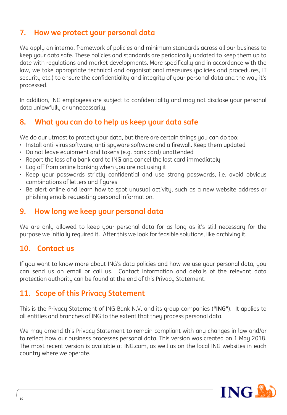# **7. How we protect your personal data**

We apply an internal framework of policies and minimum standards across all our business to keep your data safe. These policies and standards are periodically updated to keep them up to date with regulations and market developments. More specifically and in accordance with the law, we take appropriate technical and organisational measures (policies and procedures, IT security etc.) to ensure the confidentiality and integrity of your personal data and the way it's processed.

In addition, ING employees are subject to confidentiality and may not disclose your personal data unlawfully or unnecessarily.

# **8. What you can do to help us keep your data safe**

We do our utmost to protect your data, but there are certain things you can do too:

- Install anti-virus software, anti-spyware software and a firewall. Keep them updated
- Do not leave equipment and tokens (e.g. bank card) unattended
- Report the loss of a bank card to ING and cancel the lost card immediately
- Log off from online banking when you are not using it
- Keep your passwords strictly confidential and use strong passwords, i.e. avoid obvious combinations of letters and figures
- Be alert online and learn how to spot unusual activity, such as a new website address or phishing emails requesting personal information.

## **9. How long we keep your personal data**

We are only allowed to keep your personal data for as long as it's still necessary for the purpose we initially required it. After this we look for feasible solutions, like archiving it.

## **10. Contact us**

If you want to know more about ING's data policies and how we use your personal data, you can send us an email or call us. Contact information and details of the relevant data protection authority can be found at the end of this Privacy Statement.

## **11. Scope of this Privacy Statement**

This is the Privacy Statement of ING Bank N.V. and its group companies (**"ING"**). It applies to all entities and branches of ING to the extent that they process personal data.

We may amend this Privacy Statement to remain compliant with any changes in law and/or to reflect how our business processes personal data. This version was created on 1 May 2018. The most recent version is available at ING.com, as well as on the local ING websites in each country where we operate.